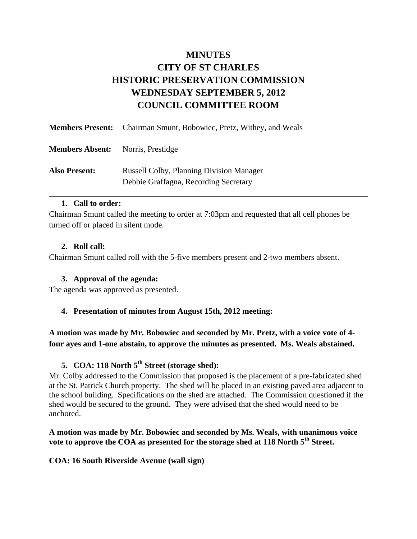# **MINUTES CITY OF ST CHARLES HISTORIC PRESERVATION COMMISSION WEDNESDAY SEPTEMBER 5, 2012 COUNCIL COMMITTEE ROOM**

|                        | <b>Members Present:</b> Chairman Smunt, Bobowiec, Pretz, Withey, and Weals               |
|------------------------|------------------------------------------------------------------------------------------|
| <b>Members Absent:</b> | Norris, Prestidge                                                                        |
| <b>Also Present:</b>   | <b>Russell Colby, Planning Division Manager</b><br>Debbie Graffagna, Recording Secretary |

#### **1. Call to order:**

Chairman Smunt called the meeting to order at 7:03pm and requested that all cell phones be turned off or placed in silent mode.

## **2. Roll call:**

Chairman Smunt called roll with the 5-five members present and 2-two members absent.

## **3. Approval of the agenda:**

The agenda was approved as presented.

## **4. Presentation of minutes from August 15th, 2012 meeting:**

**A motion was made by Mr. Bobowiec and seconded by Mr. Pretz, with a voice vote of 4 four ayes and 1-one abstain, to approve the minutes as presented. Ms. Weals abstained.** 

## **5. COA: 118 North 5th Street (storage shed):**

Mr. Colby addressed to the Commission that proposed is the placement of a pre-fabricated shed at the St. Patrick Church property. The shed will be placed in an existing paved area adjacent to the school building. Specifications on the shed are attached. The Commission questioned if the shed would be secured to the ground. They were advised that the shed would need to be anchored.

## **A motion was made by Mr. Bobowiec and seconded by Ms. Weals, with unanimous voice vote to approve the COA as presented for the storage shed at 118 North 5th Street.**

#### **COA: 16 South Riverside Avenue (wall sign)**